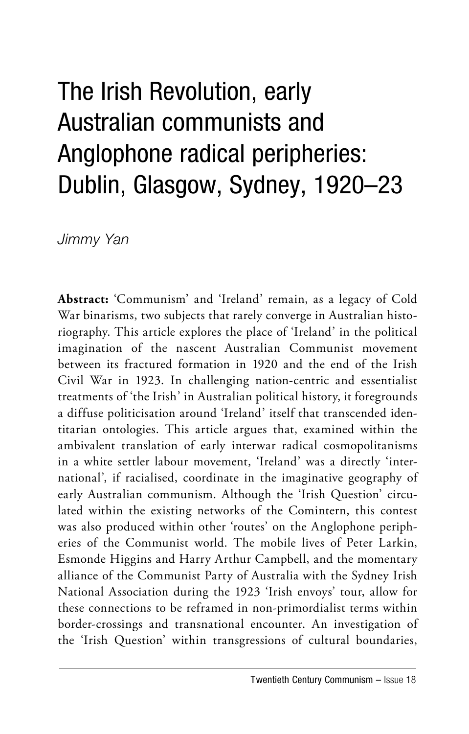# The Irish Revolution, early Australian communists and Anglophone radical peripheries: Dublin, Glasgow, Sydney, 1920–23

*Jimmy Yan*

**Abstract:** 'Communism' and 'Ireland' remain, as a legacy of Cold War binarisms, two subjects that rarely converge in Australian historiography. This article explores the place of 'Ireland' in the political imagination of the nascent Australian Communist movement between its fractured formation in 1920 and the end of the Irish Civil War in 1923. In challenging nation-centric and essentialist treatments of 'the Irish' in Australian political history, it foregrounds a diffuse politicisation around 'Ireland' itself that transcended identitarian ontologies. This article argues that, examined within the ambivalent translation of early interwar radical cosmopolitanisms in a white settler labour movement, 'Ireland' was a directly 'international', if racialised, coordinate in the imaginative geography of early Australian communism. Although the 'Irish Question' circulated within the existing networks of the Comintern, this contest was also produced within other 'routes' on the Anglophone peripheries of the Communist world. The mobile lives of Peter Larkin, Esmonde Higgins and Harry Arthur Campbell, and the momentary alliance of the Communist Party of Australia with the Sydney Irish National Association during the 1923 'Irish envoys' tour, allow for these connections to be reframed in non-primordialist terms within border-crossings and transnational encounter. An investigation of the 'Irish Question' within transgressions of cultural boundaries,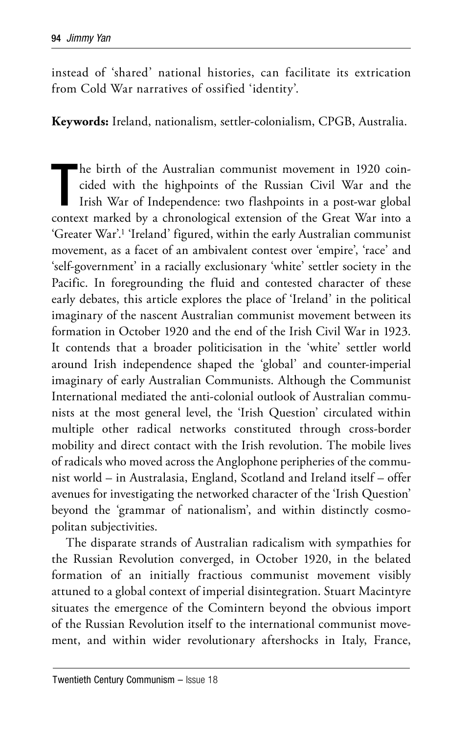instead of 'shared' national histories, can facilitate its extrication from Cold War narratives of ossified 'identity'.

**Keywords:** Ireland, nationalism, settler-colonialism, CPGB, Australia.

T he birth of the Australian communist movement in 1920 coincided with the highpoints of the Russian Civil War and the Irish War of Independence: two flashpoints in a post-war global context marked by a chronological extension of the Great War into a 'Greater War'.1 'Ireland' figured, within the early Australian communist movement, as a facet of an ambivalent contest over 'empire', 'race' and 'self-government' in a racially exclusionary 'white' settler society in the Pacific. In foregrounding the fluid and contested character of these early debates, this article explores the place of 'Ireland' in the political imaginary of the nascent Australian communist movement between its formation in October 1920 and the end of the Irish Civil War in 1923. It contends that a broader politicisation in the 'white' settler world around Irish independence shaped the 'global' and counter-imperial imaginary of early Australian Communists. Although the Communist International mediated the anti-colonial outlook of Australian communists at the most general level, the 'Irish Question' circulated within multiple other radical networks constituted through cross-border mobility and direct contact with the Irish revolution. The mobile lives of radicals who moved across the Anglophone peripheries of the communist world – in Australasia, England, Scotland and Ireland itself – offer avenues for investigating the networked character of the 'Irish Question' beyond the 'grammar of nationalism', and within distinctly cosmopolitan subjectivities.

The disparate strands of Australian radicalism with sympathies for the Russian Revolution converged, in October 1920, in the belated formation of an initially fractious communist movement visibly attuned to a global context of imperial disintegration. Stuart Macintyre situates the emergence of the Comintern beyond the obvious import of the Russian Revolution itself to the international communist movement, and within wider revolutionary aftershocks in Italy, France,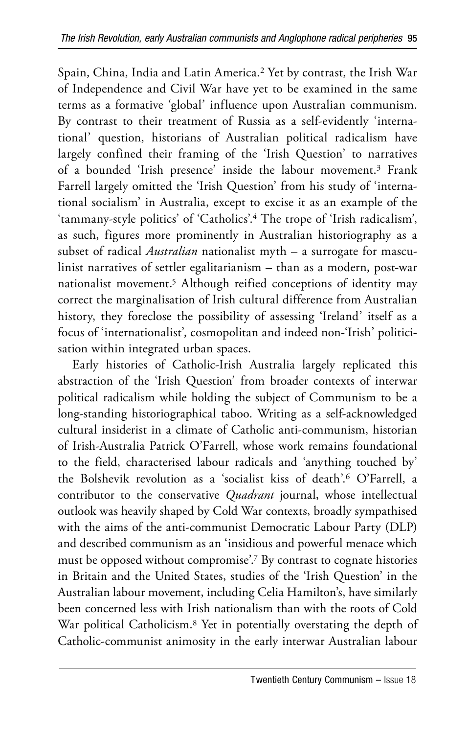Spain, China, India and Latin America.2 Yet by contrast, the Irish War of Independence and Civil War have yet to be examined in the same terms as a formative 'global' influence upon Australian communism. By contrast to their treatment of Russia as a self-evidently 'international' question, historians of Australian political radicalism have largely confined their framing of the 'Irish Question' to narratives of a bounded 'Irish presence' inside the labour movement.3 Frank Farrell largely omitted the 'Irish Question' from his study of 'international socialism' in Australia, except to excise it as an example of the 'tammany-style politics' of 'Catholics'.4 The trope of 'Irish radicalism', as such, figures more prominently in Australian historiography as a subset of radical *Australian* nationalist myth – a surrogate for masculinist narratives of settler egalitarianism – than as a modern, post-war nationalist movement.5 Although reified conceptions of identity may correct the marginalisation of Irish cultural difference from Australian history, they foreclose the possibility of assessing 'Ireland' itself as a focus of 'internationalist', cosmopolitan and indeed non-'Irish' politicisation within integrated urban spaces.

Early histories of Catholic-Irish Australia largely replicated this abstraction of the 'Irish Question' from broader contexts of interwar political radicalism while holding the subject of Communism to be a long-standing historiographical taboo. Writing as a self-acknowledged cultural insiderist in a climate of Catholic anti-communism, historian of Irish-Australia Patrick O'Farrell, whose work remains foundational to the field, characterised labour radicals and 'anything touched by' the Bolshevik revolution as a 'socialist kiss of death'.6 O'Farrell, a contributor to the conservative *Quadrant* journal, whose intellectual outlook was heavily shaped by Cold War contexts, broadly sympathised with the aims of the anti-communist Democratic Labour Party (DLP) and described communism as an 'insidious and powerful menace which must be opposed without compromise'.7 By contrast to cognate histories in Britain and the United States, studies of the 'Irish Question' in the Australian labour movement, including Celia Hamilton's, have similarly been concerned less with Irish nationalism than with the roots of Cold War political Catholicism.8 Yet in potentially overstating the depth of Catholic-communist animosity in the early interwar Australian labour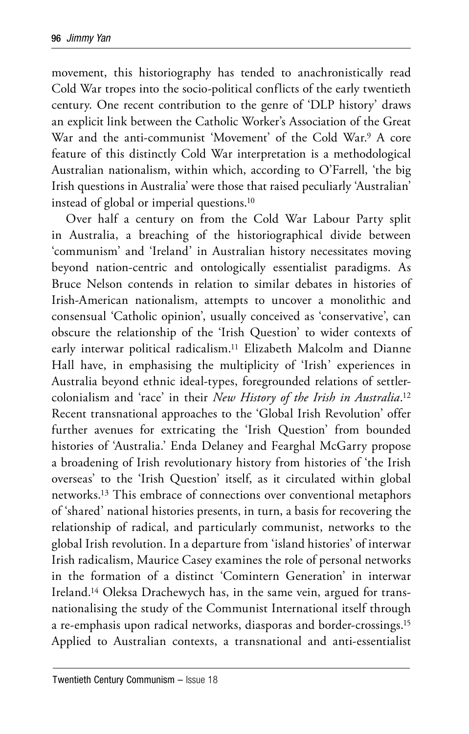movement, this historiography has tended to anachronistically read Cold War tropes into the socio-political conflicts of the early twentieth century. One recent contribution to the genre of 'DLP history' draws an explicit link between the Catholic Worker's Association of the Great War and the anti-communist 'Movement' of the Cold War.9 A core feature of this distinctly Cold War interpretation is a methodological Australian nationalism, within which, according to O'Farrell, 'the big Irish questions in Australia' were those that raised peculiarly 'Australian' instead of global or imperial questions.10

Over half a century on from the Cold War Labour Party split in Australia, a breaching of the historiographical divide between 'communism' and 'Ireland' in Australian history necessitates moving beyond nation-centric and ontologically essentialist paradigms. As Bruce Nelson contends in relation to similar debates in histories of Irish-American nationalism, attempts to uncover a monolithic and consensual 'Catholic opinion', usually conceived as 'conservative', can obscure the relationship of the 'Irish Question' to wider contexts of early interwar political radicalism.11 Elizabeth Malcolm and Dianne Hall have, in emphasising the multiplicity of 'Irish' experiences in Australia beyond ethnic ideal-types, foregrounded relations of settlercolonialism and 'race' in their *New History of the Irish in Australia*. 12 Recent transnational approaches to the 'Global Irish Revolution' offer further avenues for extricating the 'Irish Question' from bounded histories of 'Australia.' Enda Delaney and Fearghal McGarry propose a broadening of Irish revolutionary history from histories of 'the Irish overseas' to the 'Irish Question' itself, as it circulated within global networks.13 This embrace of connections over conventional metaphors of 'shared' national histories presents, in turn, a basis for recovering the relationship of radical, and particularly communist, networks to the global Irish revolution. In a departure from 'island histories' of interwar Irish radicalism, Maurice Casey examines the role of personal networks in the formation of a distinct 'Comintern Generation' in interwar Ireland.14 Oleksa Drachewych has, in the same vein, argued for transnationalising the study of the Communist International itself through a re-emphasis upon radical networks, diasporas and border-crossings.15 Applied to Australian contexts, a transnational and anti-essentialist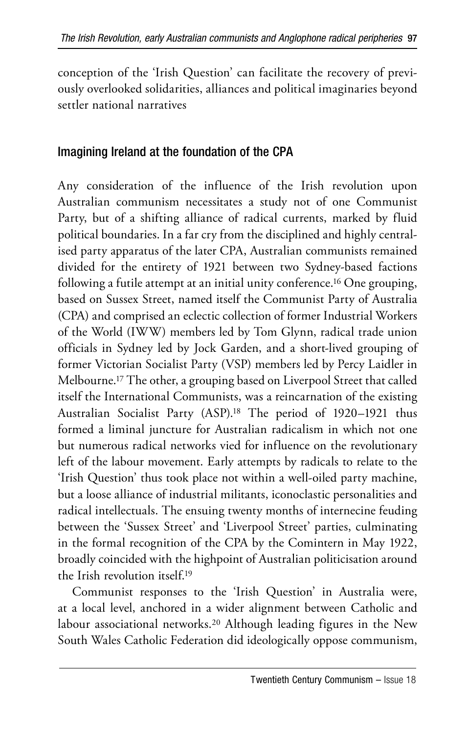conception of the 'Irish Question' can facilitate the recovery of previously overlooked solidarities, alliances and political imaginaries beyond settler national narratives

## Imagining Ireland at the foundation of the CPA

Any consideration of the influence of the Irish revolution upon Australian communism necessitates a study not of one Communist Party, but of a shifting alliance of radical currents, marked by fluid political boundaries. In a far cry from the disciplined and highly centralised party apparatus of the later CPA, Australian communists remained divided for the entirety of 1921 between two Sydney-based factions following a futile attempt at an initial unity conference.16 One grouping, based on Sussex Street, named itself the Communist Party of Australia (CPA) and comprised an eclectic collection of former Industrial Workers of the World (IWW) members led by Tom Glynn, radical trade union officials in Sydney led by Jock Garden, and a short-lived grouping of former Victorian Socialist Party (VSP) members led by Percy Laidler in Melbourne.17 The other, a grouping based on Liverpool Street that called itself the International Communists, was a reincarnation of the existing Australian Socialist Party (ASP).18 The period of 1920–1921 thus formed a liminal juncture for Australian radicalism in which not one but numerous radical networks vied for influence on the revolutionary left of the labour movement. Early attempts by radicals to relate to the 'Irish Question' thus took place not within a well-oiled party machine, but a loose alliance of industrial militants, iconoclastic personalities and radical intellectuals. The ensuing twenty months of internecine feuding between the 'Sussex Street' and 'Liverpool Street' parties, culminating in the formal recognition of the CPA by the Comintern in May 1922, broadly coincided with the highpoint of Australian politicisation around the Irish revolution itself.19

Communist responses to the 'Irish Question' in Australia were, at a local level, anchored in a wider alignment between Catholic and labour associational networks.20 Although leading figures in the New South Wales Catholic Federation did ideologically oppose communism,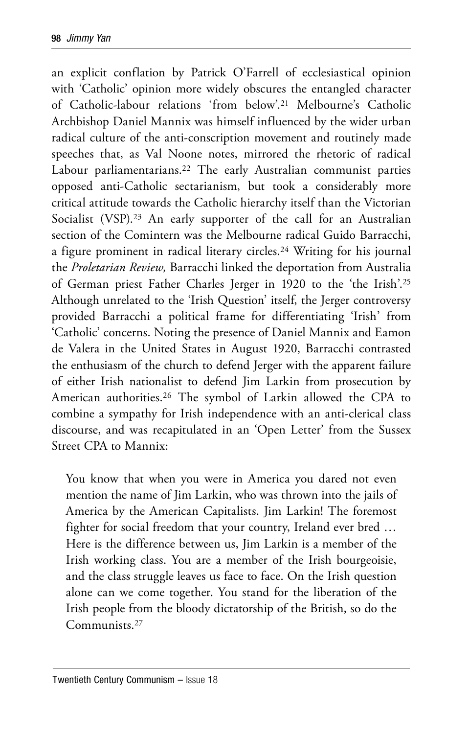an explicit conflation by Patrick O'Farrell of ecclesiastical opinion with 'Catholic' opinion more widely obscures the entangled character of Catholic-labour relations 'from below'.21 Melbourne's Catholic Archbishop Daniel Mannix was himself influenced by the wider urban radical culture of the anti-conscription movement and routinely made speeches that, as Val Noone notes, mirrored the rhetoric of radical Labour parliamentarians.<sup>22</sup> The early Australian communist parties opposed anti-Catholic sectarianism, but took a considerably more critical attitude towards the Catholic hierarchy itself than the Victorian Socialist (VSP).<sup>23</sup> An early supporter of the call for an Australian section of the Comintern was the Melbourne radical Guido Barracchi, a figure prominent in radical literary circles.24 Writing for his journal the *Proletarian Review,* Barracchi linked the deportation from Australia of German priest Father Charles Jerger in 1920 to the 'the Irish'.25 Although unrelated to the 'Irish Question' itself, the Jerger controversy provided Barracchi a political frame for differentiating 'Irish' from 'Catholic' concerns. Noting the presence of Daniel Mannix and Eamon de Valera in the United States in August 1920, Barracchi contrasted the enthusiasm of the church to defend Jerger with the apparent failure of either Irish nationalist to defend Jim Larkin from prosecution by American authorities.26 The symbol of Larkin allowed the CPA to combine a sympathy for Irish independence with an anti-clerical class discourse, and was recapitulated in an 'Open Letter' from the Sussex Street CPA to Mannix:

You know that when you were in America you dared not even mention the name of Jim Larkin, who was thrown into the jails of America by the American Capitalists. Jim Larkin! The foremost fighter for social freedom that your country, Ireland ever bred … Here is the difference between us, Jim Larkin is a member of the Irish working class. You are a member of the Irish bourgeoisie, and the class struggle leaves us face to face. On the Irish question alone can we come together. You stand for the liberation of the Irish people from the bloody dictatorship of the British, so do the Communists.27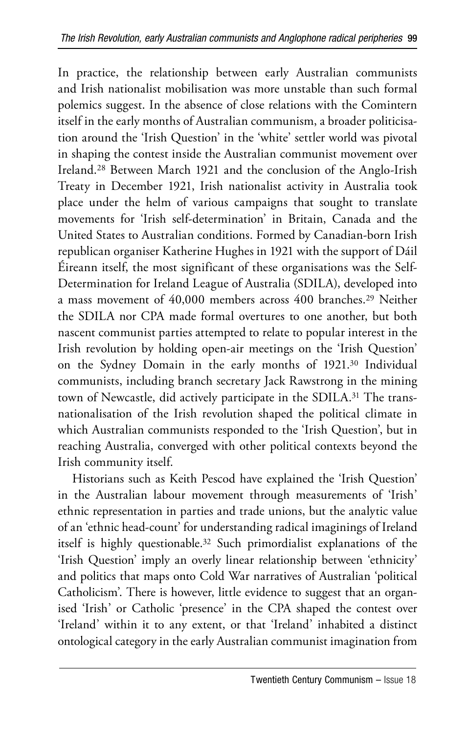In practice, the relationship between early Australian communists and Irish nationalist mobilisation was more unstable than such formal polemics suggest. In the absence of close relations with the Comintern itself in the early months of Australian communism, a broader politicisation around the 'Irish Question' in the 'white' settler world was pivotal in shaping the contest inside the Australian communist movement over Ireland.28 Between March 1921 and the conclusion of the Anglo-Irish Treaty in December 1921, Irish nationalist activity in Australia took place under the helm of various campaigns that sought to translate movements for 'Irish self-determination' in Britain, Canada and the United States to Australian conditions. Formed by Canadian-born Irish republican organiser Katherine Hughes in 1921 with the support of Dáil Éireann itself, the most significant of these organisations was the Self-Determination for Ireland League of Australia (SDILA), developed into a mass movement of 40,000 members across 400 branches.29 Neither the SDILA nor CPA made formal overtures to one another, but both nascent communist parties attempted to relate to popular interest in the Irish revolution by holding open-air meetings on the 'Irish Question' on the Sydney Domain in the early months of 1921.30 Individual communists, including branch secretary Jack Rawstrong in the mining town of Newcastle, did actively participate in the SDILA.<sup>31</sup> The transnationalisation of the Irish revolution shaped the political climate in which Australian communists responded to the 'Irish Question', but in reaching Australia, converged with other political contexts beyond the Irish community itself.

Historians such as Keith Pescod have explained the 'Irish Question' in the Australian labour movement through measurements of 'Irish' ethnic representation in parties and trade unions, but the analytic value of an 'ethnic head-count' for understanding radical imaginings of Ireland itself is highly questionable.32 Such primordialist explanations of the 'Irish Question' imply an overly linear relationship between 'ethnicity' and politics that maps onto Cold War narratives of Australian 'political Catholicism'. There is however, little evidence to suggest that an organised 'Irish' or Catholic 'presence' in the CPA shaped the contest over 'Ireland' within it to any extent, or that 'Ireland' inhabited a distinct ontological category in the early Australian communist imagination from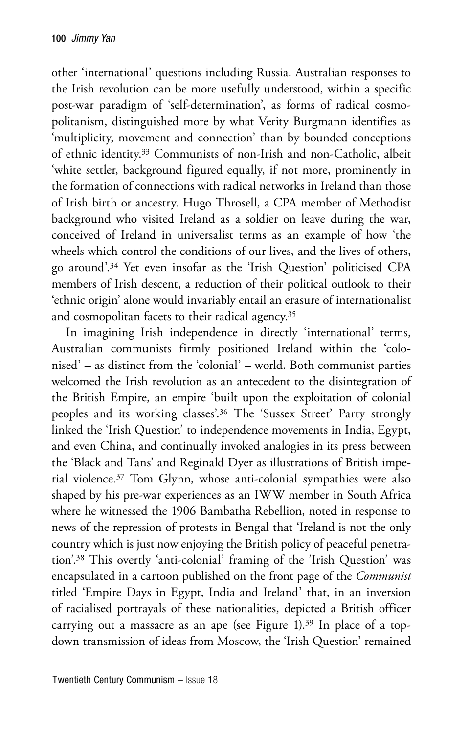other 'international' questions including Russia. Australian responses to the Irish revolution can be more usefully understood, within a specific post-war paradigm of 'self-determination', as forms of radical cosmopolitanism, distinguished more by what Verity Burgmann identifies as 'multiplicity, movement and connection' than by bounded conceptions of ethnic identity.33 Communists of non-Irish and non-Catholic, albeit 'white settler, background figured equally, if not more, prominently in the formation of connections with radical networks in Ireland than those of Irish birth or ancestry. Hugo Throsell, a CPA member of Methodist background who visited Ireland as a soldier on leave during the war, conceived of Ireland in universalist terms as an example of how 'the wheels which control the conditions of our lives, and the lives of others, go around'.34 Yet even insofar as the 'Irish Question' politicised CPA members of Irish descent, a reduction of their political outlook to their 'ethnic origin' alone would invariably entail an erasure of internationalist and cosmopolitan facets to their radical agency.35

In imagining Irish independence in directly 'international' terms, Australian communists firmly positioned Ireland within the 'colonised' – as distinct from the 'colonial' – world. Both communist parties welcomed the Irish revolution as an antecedent to the disintegration of the British Empire, an empire 'built upon the exploitation of colonial peoples and its working classes'.36 The 'Sussex Street' Party strongly linked the 'Irish Question' to independence movements in India, Egypt, and even China, and continually invoked analogies in its press between the 'Black and Tans' and Reginald Dyer as illustrations of British imperial violence.37 Tom Glynn, whose anti-colonial sympathies were also shaped by his pre-war experiences as an IWW member in South Africa where he witnessed the 1906 Bambatha Rebellion, noted in response to news of the repression of protests in Bengal that 'Ireland is not the only country which is just now enjoying the British policy of peaceful penetration'.38 This overtly 'anti-colonial' framing of the 'Irish Question' was encapsulated in a cartoon published on the front page of the *Communist*  titled 'Empire Days in Egypt, India and Ireland' that, in an inversion of racialised portrayals of these nationalities, depicted a British officer carrying out a massacre as an ape (see Figure 1).39 In place of a topdown transmission of ideas from Moscow, the 'Irish Question' remained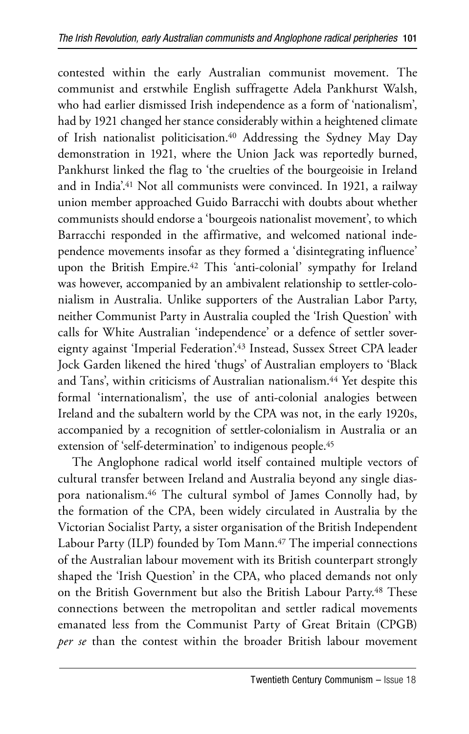contested within the early Australian communist movement. The communist and erstwhile English suffragette Adela Pankhurst Walsh, who had earlier dismissed Irish independence as a form of 'nationalism', had by 1921 changed her stance considerably within a heightened climate of Irish nationalist politicisation.<sup>40</sup> Addressing the Sydney May Day demonstration in 1921, where the Union Jack was reportedly burned, Pankhurst linked the flag to 'the cruelties of the bourgeoisie in Ireland and in India'.<sup>41</sup> Not all communists were convinced. In 1921, a railway union member approached Guido Barracchi with doubts about whether communists should endorse a 'bourgeois nationalist movement', to which Barracchi responded in the affirmative, and welcomed national independence movements insofar as they formed a 'disintegrating influence' upon the British Empire.42 This 'anti-colonial' sympathy for Ireland was however, accompanied by an ambivalent relationship to settler-colonialism in Australia. Unlike supporters of the Australian Labor Party, neither Communist Party in Australia coupled the 'Irish Question' with calls for White Australian 'independence' or a defence of settler sovereignty against 'Imperial Federation'.43 Instead, Sussex Street CPA leader Jock Garden likened the hired 'thugs' of Australian employers to 'Black and Tans', within criticisms of Australian nationalism.<sup>44</sup> Yet despite this formal 'internationalism', the use of anti-colonial analogies between Ireland and the subaltern world by the CPA was not, in the early 1920s, accompanied by a recognition of settler-colonialism in Australia or an extension of 'self-determination' to indigenous people.45

The Anglophone radical world itself contained multiple vectors of cultural transfer between Ireland and Australia beyond any single diaspora nationalism.46 The cultural symbol of James Connolly had, by the formation of the CPA, been widely circulated in Australia by the Victorian Socialist Party, a sister organisation of the British Independent Labour Party (ILP) founded by Tom Mann.<sup>47</sup> The imperial connections of the Australian labour movement with its British counterpart strongly shaped the 'Irish Question' in the CPA, who placed demands not only on the British Government but also the British Labour Party.<sup>48</sup> These connections between the metropolitan and settler radical movements emanated less from the Communist Party of Great Britain (CPGB) *per se* than the contest within the broader British labour movement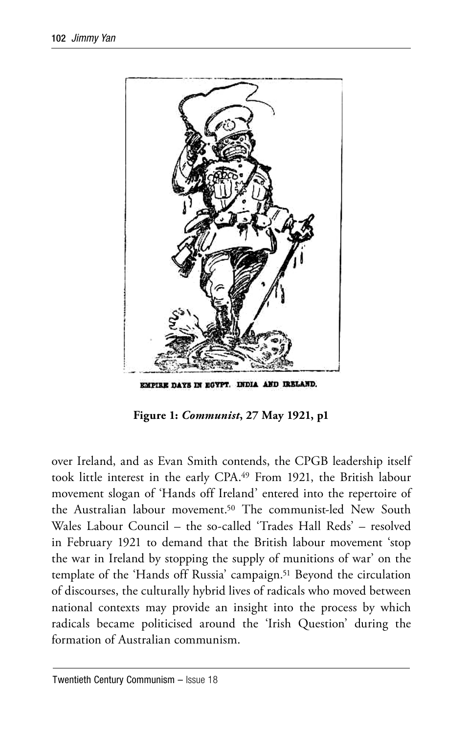

**Figure 1:** *Communist***, 27 May 1921, p1**

over Ireland, and as Evan Smith contends, the CPGB leadership itself took little interest in the early CPA.49 From 1921, the British labour movement slogan of 'Hands off Ireland' entered into the repertoire of the Australian labour movement.50 The communist-led New South Wales Labour Council – the so-called 'Trades Hall Reds' – resolved in February 1921 to demand that the British labour movement 'stop the war in Ireland by stopping the supply of munitions of war' on the template of the 'Hands off Russia' campaign.<sup>51</sup> Beyond the circulation of discourses, the culturally hybrid lives of radicals who moved between national contexts may provide an insight into the process by which radicals became politicised around the 'Irish Question' during the formation of Australian communism.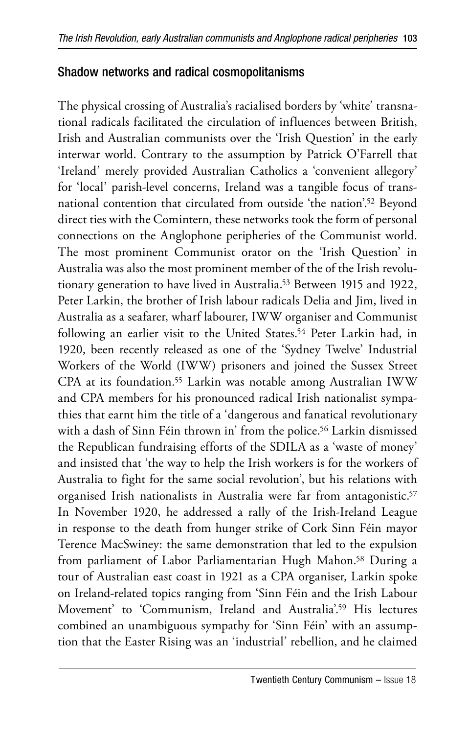### Shadow networks and radical cosmopolitanisms

The physical crossing of Australia's racialised borders by 'white' transnational radicals facilitated the circulation of influences between British, Irish and Australian communists over the 'Irish Question' in the early interwar world. Contrary to the assumption by Patrick O'Farrell that 'Ireland' merely provided Australian Catholics a 'convenient allegory' for 'local' parish-level concerns, Ireland was a tangible focus of transnational contention that circulated from outside 'the nation'.52 Beyond direct ties with the Comintern, these networks took the form of personal connections on the Anglophone peripheries of the Communist world. The most prominent Communist orator on the 'Irish Question' in Australia was also the most prominent member of the of the Irish revolutionary generation to have lived in Australia.53 Between 1915 and 1922, Peter Larkin, the brother of Irish labour radicals Delia and Jim, lived in Australia as a seafarer, wharf labourer, IWW organiser and Communist following an earlier visit to the United States.<sup>54</sup> Peter Larkin had, in 1920, been recently released as one of the 'Sydney Twelve' Industrial Workers of the World (IWW) prisoners and joined the Sussex Street CPA at its foundation.<sup>55</sup> Larkin was notable among Australian IWW and CPA members for his pronounced radical Irish nationalist sympathies that earnt him the title of a 'dangerous and fanatical revolutionary with a dash of Sinn Féin thrown in' from the police.56 Larkin dismissed the Republican fundraising efforts of the SDILA as a 'waste of money' and insisted that 'the way to help the Irish workers is for the workers of Australia to fight for the same social revolution', but his relations with organised Irish nationalists in Australia were far from antagonistic.<sup>57</sup> In November 1920, he addressed a rally of the Irish-Ireland League in response to the death from hunger strike of Cork Sinn Féin mayor Terence MacSwiney: the same demonstration that led to the expulsion from parliament of Labor Parliamentarian Hugh Mahon.<sup>58</sup> During a tour of Australian east coast in 1921 as a CPA organiser, Larkin spoke on Ireland-related topics ranging from 'Sinn Féin and the Irish Labour Movement' to 'Communism, Ireland and Australia'.59 His lectures combined an unambiguous sympathy for 'Sinn Féin' with an assumption that the Easter Rising was an 'industrial' rebellion, and he claimed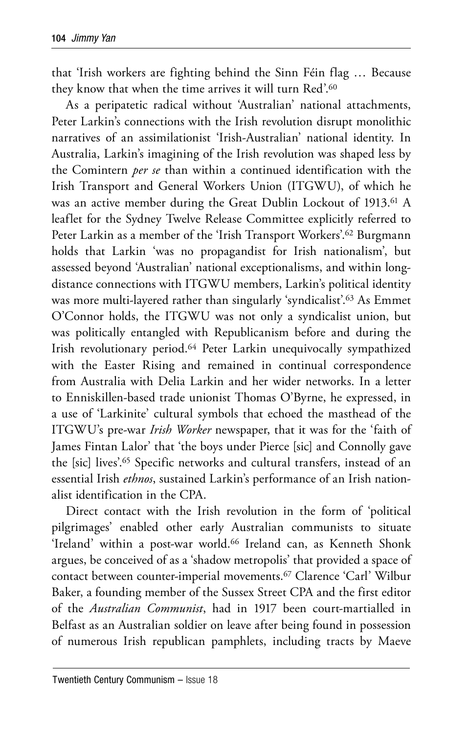that 'Irish workers are fighting behind the Sinn Féin flag … Because they know that when the time arrives it will turn Red'.60

As a peripatetic radical without 'Australian' national attachments, Peter Larkin's connections with the Irish revolution disrupt monolithic narratives of an assimilationist 'Irish-Australian' national identity. In Australia, Larkin's imagining of the Irish revolution was shaped less by the Comintern *per se* than within a continued identification with the Irish Transport and General Workers Union (ITGWU), of which he was an active member during the Great Dublin Lockout of 1913.<sup>61</sup> A leaflet for the Sydney Twelve Release Committee explicitly referred to Peter Larkin as a member of the 'Irish Transport Workers'.62 Burgmann holds that Larkin 'was no propagandist for Irish nationalism', but assessed beyond 'Australian' national exceptionalisms, and within longdistance connections with ITGWU members, Larkin's political identity was more multi-layered rather than singularly 'syndicalist'.63 As Emmet O'Connor holds, the ITGWU was not only a syndicalist union, but was politically entangled with Republicanism before and during the Irish revolutionary period.64 Peter Larkin unequivocally sympathized with the Easter Rising and remained in continual correspondence from Australia with Delia Larkin and her wider networks. In a letter to Enniskillen-based trade unionist Thomas O'Byrne, he expressed, in a use of 'Larkinite' cultural symbols that echoed the masthead of the ITGWU's pre-war *Irish Worker* newspaper, that it was for the 'faith of James Fintan Lalor' that 'the boys under Pierce [sic] and Connolly gave the [sic] lives'.65 Specific networks and cultural transfers, instead of an essential Irish *ethnos*, sustained Larkin's performance of an Irish nationalist identification in the CPA.

Direct contact with the Irish revolution in the form of 'political pilgrimages' enabled other early Australian communists to situate 'Ireland' within a post-war world.<sup>66</sup> Ireland can, as Kenneth Shonk argues, be conceived of as a 'shadow metropolis' that provided a space of contact between counter-imperial movements.<sup>67</sup> Clarence 'Carl' Wilbur Baker, a founding member of the Sussex Street CPA and the first editor of the *Australian Communist*, had in 1917 been court-martialled in Belfast as an Australian soldier on leave after being found in possession of numerous Irish republican pamphlets, including tracts by Maeve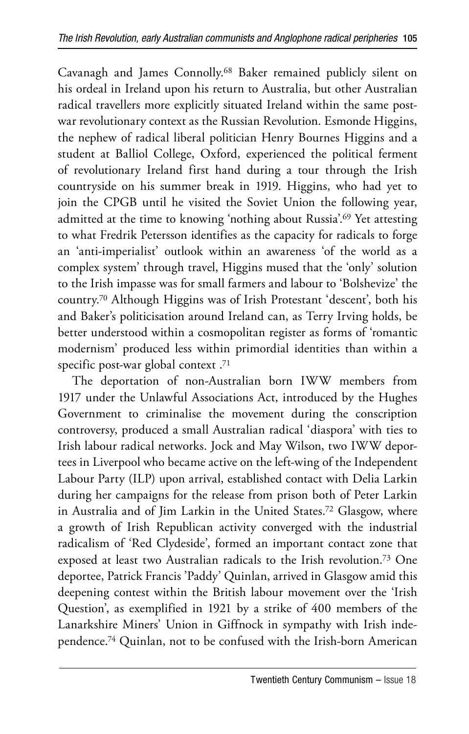Cavanagh and James Connolly.68 Baker remained publicly silent on his ordeal in Ireland upon his return to Australia, but other Australian radical travellers more explicitly situated Ireland within the same postwar revolutionary context as the Russian Revolution. Esmonde Higgins, the nephew of radical liberal politician Henry Bournes Higgins and a student at Balliol College, Oxford, experienced the political ferment of revolutionary Ireland first hand during a tour through the Irish countryside on his summer break in 1919. Higgins, who had yet to join the CPGB until he visited the Soviet Union the following year, admitted at the time to knowing 'nothing about Russia'.69 Yet attesting to what Fredrik Petersson identifies as the capacity for radicals to forge an 'anti-imperialist' outlook within an awareness 'of the world as a complex system' through travel, Higgins mused that the 'only' solution to the Irish impasse was for small farmers and labour to 'Bolshevize' the country.70 Although Higgins was of Irish Protestant 'descent', both his and Baker's politicisation around Ireland can, as Terry Irving holds, be better understood within a cosmopolitan register as forms of 'romantic modernism' produced less within primordial identities than within a specific post-war global context .71

The deportation of non-Australian born IWW members from 1917 under the Unlawful Associations Act, introduced by the Hughes Government to criminalise the movement during the conscription controversy, produced a small Australian radical 'diaspora' with ties to Irish labour radical networks. Jock and May Wilson, two IWW deportees in Liverpool who became active on the left-wing of the Independent Labour Party (ILP) upon arrival, established contact with Delia Larkin during her campaigns for the release from prison both of Peter Larkin in Australia and of Jim Larkin in the United States.72 Glasgow, where a growth of Irish Republican activity converged with the industrial radicalism of 'Red Clydeside', formed an important contact zone that exposed at least two Australian radicals to the Irish revolution.73 One deportee, Patrick Francis 'Paddy' Quinlan, arrived in Glasgow amid this deepening contest within the British labour movement over the 'Irish Question', as exemplified in 1921 by a strike of 400 members of the Lanarkshire Miners' Union in Giffnock in sympathy with Irish independence.74 Quinlan, not to be confused with the Irish-born American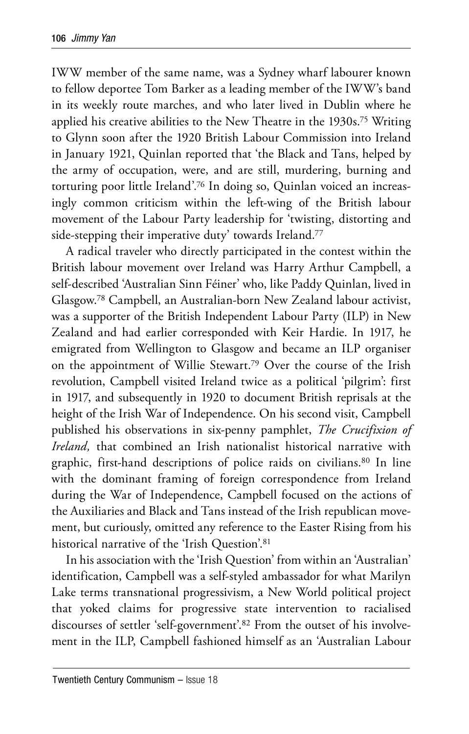IWW member of the same name, was a Sydney wharf labourer known to fellow deportee Tom Barker as a leading member of the IWW's band in its weekly route marches, and who later lived in Dublin where he applied his creative abilities to the New Theatre in the 1930s.75 Writing to Glynn soon after the 1920 British Labour Commission into Ireland in January 1921, Quinlan reported that 'the Black and Tans, helped by the army of occupation, were, and are still, murdering, burning and torturing poor little Ireland'.76 In doing so, Quinlan voiced an increasingly common criticism within the left-wing of the British labour movement of the Labour Party leadership for 'twisting, distorting and side-stepping their imperative duty' towards Ireland.<sup>77</sup>

A radical traveler who directly participated in the contest within the British labour movement over Ireland was Harry Arthur Campbell, a self-described 'Australian Sinn Féiner' who, like Paddy Quinlan, lived in Glasgow.78 Campbell, an Australian-born New Zealand labour activist, was a supporter of the British Independent Labour Party (ILP) in New Zealand and had earlier corresponded with Keir Hardie. In 1917, he emigrated from Wellington to Glasgow and became an ILP organiser on the appointment of Willie Stewart.79 Over the course of the Irish revolution, Campbell visited Ireland twice as a political 'pilgrim': first in 1917, and subsequently in 1920 to document British reprisals at the height of the Irish War of Independence. On his second visit, Campbell published his observations in six-penny pamphlet, *The Crucifixion of Ireland,* that combined an Irish nationalist historical narrative with graphic, first-hand descriptions of police raids on civilians.80 In line with the dominant framing of foreign correspondence from Ireland during the War of Independence, Campbell focused on the actions of the Auxiliaries and Black and Tans instead of the Irish republican movement, but curiously, omitted any reference to the Easter Rising from his historical narrative of the 'Irish Question'.81

In his association with the 'Irish Question' from within an 'Australian' identification, Campbell was a self-styled ambassador for what Marilyn Lake terms transnational progressivism, a New World political project that yoked claims for progressive state intervention to racialised discourses of settler 'self-government'.82 From the outset of his involvement in the ILP, Campbell fashioned himself as an 'Australian Labour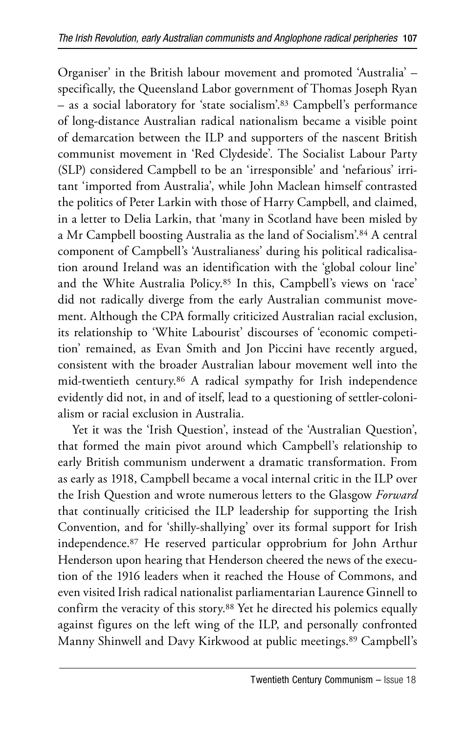Organiser' in the British labour movement and promoted 'Australia' – specifically, the Queensland Labor government of Thomas Joseph Ryan – as a social laboratory for 'state socialism'.83 Campbell's performance of long-distance Australian radical nationalism became a visible point of demarcation between the ILP and supporters of the nascent British communist movement in 'Red Clydeside'. The Socialist Labour Party (SLP) considered Campbell to be an 'irresponsible' and 'nefarious' irritant 'imported from Australia', while John Maclean himself contrasted the politics of Peter Larkin with those of Harry Campbell, and claimed, in a letter to Delia Larkin, that 'many in Scotland have been misled by a Mr Campbell boosting Australia as the land of Socialism'.84 A central component of Campbell's 'Australianess' during his political radicalisation around Ireland was an identification with the 'global colour line' and the White Australia Policy.85 In this, Campbell's views on 'race' did not radically diverge from the early Australian communist movement. Although the CPA formally criticized Australian racial exclusion, its relationship to 'White Labourist' discourses of 'economic competition' remained, as Evan Smith and Jon Piccini have recently argued, consistent with the broader Australian labour movement well into the mid-twentieth century.86 A radical sympathy for Irish independence evidently did not, in and of itself, lead to a questioning of settler-colonialism or racial exclusion in Australia.

Yet it was the 'Irish Question', instead of the 'Australian Question', that formed the main pivot around which Campbell's relationship to early British communism underwent a dramatic transformation. From as early as 1918, Campbell became a vocal internal critic in the ILP over the Irish Question and wrote numerous letters to the Glasgow *Forward*  that continually criticised the ILP leadership for supporting the Irish Convention, and for 'shilly-shallying' over its formal support for Irish independence.87 He reserved particular opprobrium for John Arthur Henderson upon hearing that Henderson cheered the news of the execution of the 1916 leaders when it reached the House of Commons, and even visited Irish radical nationalist parliamentarian Laurence Ginnell to confirm the veracity of this story.88 Yet he directed his polemics equally against figures on the left wing of the ILP, and personally confronted Manny Shinwell and Davy Kirkwood at public meetings.89 Campbell's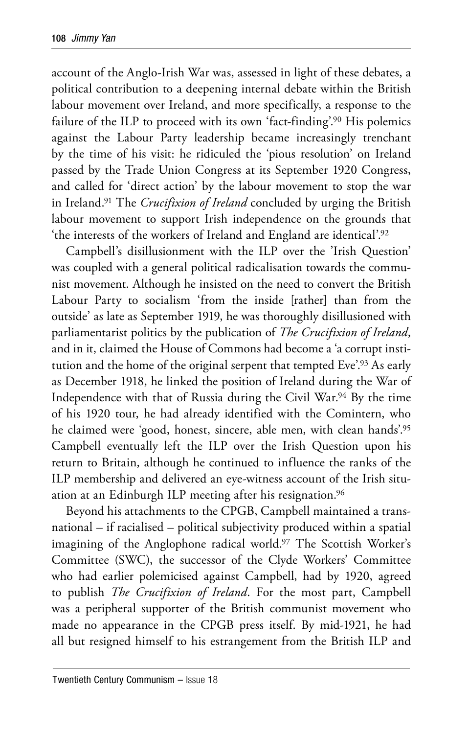account of the Anglo-Irish War was, assessed in light of these debates, a political contribution to a deepening internal debate within the British labour movement over Ireland, and more specifically, a response to the failure of the ILP to proceed with its own 'fact-finding'.<sup>90</sup> His polemics against the Labour Party leadership became increasingly trenchant by the time of his visit: he ridiculed the 'pious resolution' on Ireland passed by the Trade Union Congress at its September 1920 Congress, and called for 'direct action' by the labour movement to stop the war in Ireland.91 The *Crucifixion of Ireland* concluded by urging the British labour movement to support Irish independence on the grounds that 'the interests of the workers of Ireland and England are identical'.92

Campbell's disillusionment with the ILP over the 'Irish Question' was coupled with a general political radicalisation towards the communist movement. Although he insisted on the need to convert the British Labour Party to socialism 'from the inside [rather] than from the outside' as late as September 1919, he was thoroughly disillusioned with parliamentarist politics by the publication of *The Crucifixion of Ireland*, and in it, claimed the House of Commons had become a 'a corrupt institution and the home of the original serpent that tempted Eve'.93 As early as December 1918, he linked the position of Ireland during the War of Independence with that of Russia during the Civil War.94 By the time of his 1920 tour, he had already identified with the Comintern, who he claimed were 'good, honest, sincere, able men, with clean hands'.95 Campbell eventually left the ILP over the Irish Question upon his return to Britain, although he continued to influence the ranks of the ILP membership and delivered an eye-witness account of the Irish situation at an Edinburgh ILP meeting after his resignation.96

Beyond his attachments to the CPGB, Campbell maintained a transnational – if racialised – political subjectivity produced within a spatial imagining of the Anglophone radical world.<sup>97</sup> The Scottish Worker's Committee (SWC), the successor of the Clyde Workers' Committee who had earlier polemicised against Campbell, had by 1920, agreed to publish *The Crucifixion of Ireland*. For the most part, Campbell was a peripheral supporter of the British communist movement who made no appearance in the CPGB press itself. By mid-1921, he had all but resigned himself to his estrangement from the British ILP and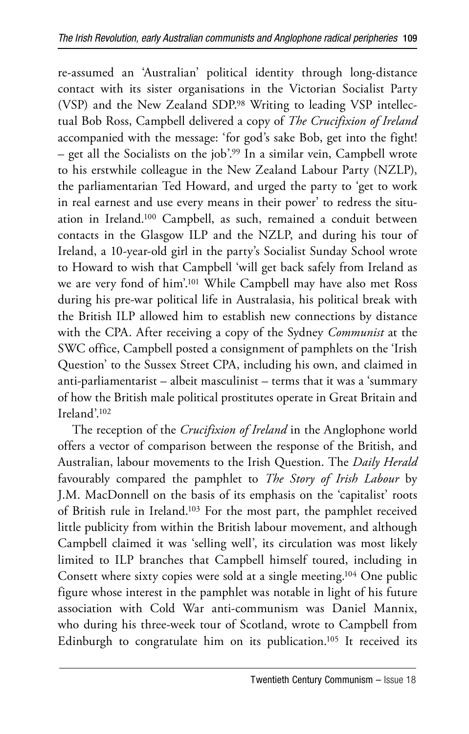re-assumed an 'Australian' political identity through long-distance contact with its sister organisations in the Victorian Socialist Party (VSP) and the New Zealand SDP.98 Writing to leading VSP intellectual Bob Ross, Campbell delivered a copy of *The Crucifixion of Ireland*  accompanied with the message: 'for god's sake Bob, get into the fight! – get all the Socialists on the job'.99 In a similar vein, Campbell wrote to his erstwhile colleague in the New Zealand Labour Party (NZLP), the parliamentarian Ted Howard, and urged the party to 'get to work in real earnest and use every means in their power' to redress the situation in Ireland.100 Campbell, as such, remained a conduit between contacts in the Glasgow ILP and the NZLP, and during his tour of Ireland, a 10-year-old girl in the party's Socialist Sunday School wrote to Howard to wish that Campbell 'will get back safely from Ireland as we are very fond of him'.101 While Campbell may have also met Ross during his pre-war political life in Australasia, his political break with the British ILP allowed him to establish new connections by distance with the CPA. After receiving a copy of the Sydney *Communist* at the SWC office, Campbell posted a consignment of pamphlets on the 'Irish Question' to the Sussex Street CPA, including his own, and claimed in anti-parliamentarist – albeit masculinist – terms that it was a 'summary of how the British male political prostitutes operate in Great Britain and Ireland'.102

The reception of the *Crucifixion of Ireland* in the Anglophone world offers a vector of comparison between the response of the British, and Australian, labour movements to the Irish Question. The *Daily Herald* favourably compared the pamphlet to *The Story of Irish Labour* by J.M. MacDonnell on the basis of its emphasis on the 'capitalist' roots of British rule in Ireland.103 For the most part, the pamphlet received little publicity from within the British labour movement, and although Campbell claimed it was 'selling well', its circulation was most likely limited to ILP branches that Campbell himself toured, including in Consett where sixty copies were sold at a single meeting.104 One public figure whose interest in the pamphlet was notable in light of his future association with Cold War anti-communism was Daniel Mannix, who during his three-week tour of Scotland, wrote to Campbell from Edinburgh to congratulate him on its publication.105 It received its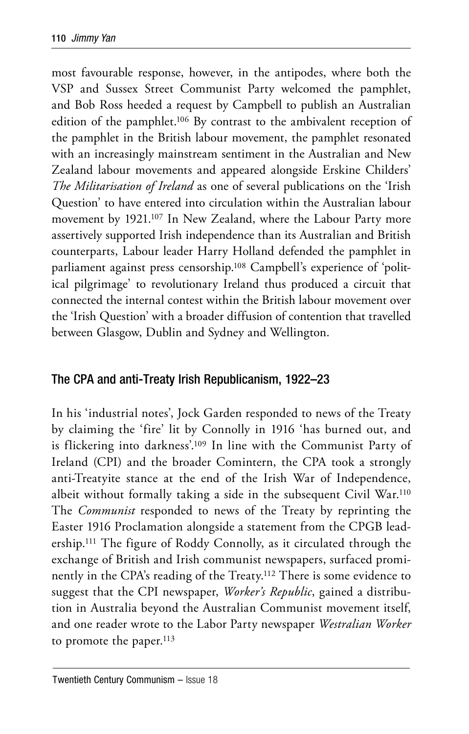most favourable response, however, in the antipodes, where both the VSP and Sussex Street Communist Party welcomed the pamphlet, and Bob Ross heeded a request by Campbell to publish an Australian edition of the pamphlet.106 By contrast to the ambivalent reception of the pamphlet in the British labour movement, the pamphlet resonated with an increasingly mainstream sentiment in the Australian and New Zealand labour movements and appeared alongside Erskine Childers' *The Militarisation of Ireland* as one of several publications on the 'Irish Question' to have entered into circulation within the Australian labour movement by 1921.107 In New Zealand, where the Labour Party more assertively supported Irish independence than its Australian and British counterparts, Labour leader Harry Holland defended the pamphlet in parliament against press censorship.108 Campbell's experience of 'political pilgrimage' to revolutionary Ireland thus produced a circuit that connected the internal contest within the British labour movement over the 'Irish Question' with a broader diffusion of contention that travelled between Glasgow, Dublin and Sydney and Wellington.

#### The CPA and anti-Treaty Irish Republicanism, 1922–23

In his 'industrial notes', Jock Garden responded to news of the Treaty by claiming the 'fire' lit by Connolly in 1916 'has burned out, and is flickering into darkness'.109 In line with the Communist Party of Ireland (CPI) and the broader Comintern, the CPA took a strongly anti-Treatyite stance at the end of the Irish War of Independence, albeit without formally taking a side in the subsequent Civil War.110 The *Communist* responded to news of the Treaty by reprinting the Easter 1916 Proclamation alongside a statement from the CPGB leadership.111 The figure of Roddy Connolly, as it circulated through the exchange of British and Irish communist newspapers, surfaced prominently in the CPA's reading of the Treaty.112 There is some evidence to suggest that the CPI newspaper, *Worker's Republic*, gained a distribution in Australia beyond the Australian Communist movement itself, and one reader wrote to the Labor Party newspaper *Westralian Worker*  to promote the paper.<sup>113</sup>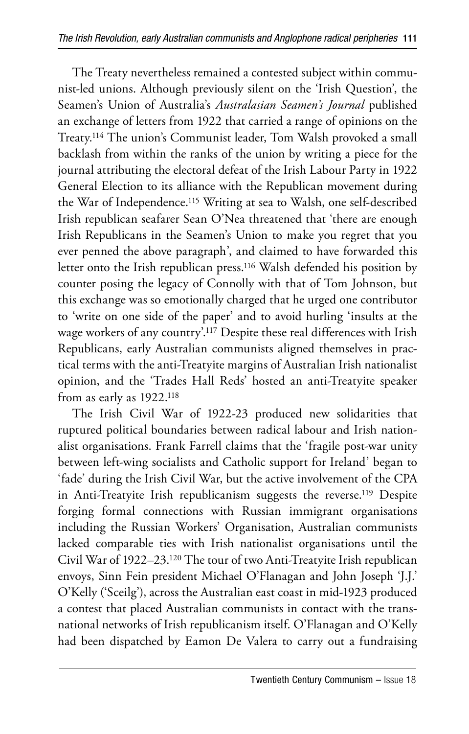The Treaty nevertheless remained a contested subject within communist-led unions. Although previously silent on the 'Irish Question', the Seamen's Union of Australia's *Australasian Seamen's Journal* published an exchange of letters from 1922 that carried a range of opinions on the Treaty.114 The union's Communist leader, Tom Walsh provoked a small backlash from within the ranks of the union by writing a piece for the journal attributing the electoral defeat of the Irish Labour Party in 1922 General Election to its alliance with the Republican movement during the War of Independence.115 Writing at sea to Walsh, one self-described Irish republican seafarer Sean O'Nea threatened that 'there are enough Irish Republicans in the Seamen's Union to make you regret that you ever penned the above paragraph', and claimed to have forwarded this letter onto the Irish republican press.116 Walsh defended his position by counter posing the legacy of Connolly with that of Tom Johnson, but this exchange was so emotionally charged that he urged one contributor to 'write on one side of the paper' and to avoid hurling 'insults at the wage workers of any country'.117 Despite these real differences with Irish Republicans, early Australian communists aligned themselves in practical terms with the anti-Treatyite margins of Australian Irish nationalist opinion, and the 'Trades Hall Reds' hosted an anti-Treatyite speaker from as early as 1922.118

The Irish Civil War of 1922-23 produced new solidarities that ruptured political boundaries between radical labour and Irish nationalist organisations. Frank Farrell claims that the 'fragile post-war unity between left-wing socialists and Catholic support for Ireland' began to 'fade' during the Irish Civil War, but the active involvement of the CPA in Anti-Treatyite Irish republicanism suggests the reverse.119 Despite forging formal connections with Russian immigrant organisations including the Russian Workers' Organisation, Australian communists lacked comparable ties with Irish nationalist organisations until the Civil War of 1922–23.120 The tour of two Anti-Treatyite Irish republican envoys, Sinn Fein president Michael O'Flanagan and John Joseph 'J.J.' O'Kelly ('Sceilg'), across the Australian east coast in mid-1923 produced a contest that placed Australian communists in contact with the transnational networks of Irish republicanism itself. O'Flanagan and O'Kelly had been dispatched by Eamon De Valera to carry out a fundraising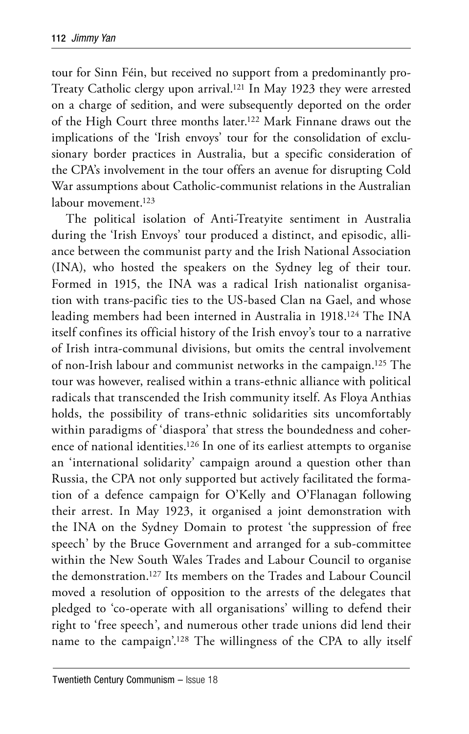tour for Sinn Féin, but received no support from a predominantly pro-Treaty Catholic clergy upon arrival.121 In May 1923 they were arrested on a charge of sedition, and were subsequently deported on the order of the High Court three months later.122 Mark Finnane draws out the implications of the 'Irish envoys' tour for the consolidation of exclusionary border practices in Australia, but a specific consideration of the CPA's involvement in the tour offers an avenue for disrupting Cold War assumptions about Catholic-communist relations in the Australian labour movement.<sup>123</sup>

The political isolation of Anti-Treatyite sentiment in Australia during the 'Irish Envoys' tour produced a distinct, and episodic, alliance between the communist party and the Irish National Association (INA), who hosted the speakers on the Sydney leg of their tour. Formed in 1915, the INA was a radical Irish nationalist organisation with trans-pacific ties to the US-based Clan na Gael, and whose leading members had been interned in Australia in 1918.124 The INA itself confines its official history of the Irish envoy's tour to a narrative of Irish intra-communal divisions, but omits the central involvement of non-Irish labour and communist networks in the campaign.125 The tour was however, realised within a trans-ethnic alliance with political radicals that transcended the Irish community itself. As Floya Anthias holds, the possibility of trans-ethnic solidarities sits uncomfortably within paradigms of 'diaspora' that stress the boundedness and coherence of national identities.126 In one of its earliest attempts to organise an 'international solidarity' campaign around a question other than Russia, the CPA not only supported but actively facilitated the formation of a defence campaign for O'Kelly and O'Flanagan following their arrest. In May 1923, it organised a joint demonstration with the INA on the Sydney Domain to protest 'the suppression of free speech' by the Bruce Government and arranged for a sub-committee within the New South Wales Trades and Labour Council to organise the demonstration.127 Its members on the Trades and Labour Council moved a resolution of opposition to the arrests of the delegates that pledged to 'co-operate with all organisations' willing to defend their right to 'free speech', and numerous other trade unions did lend their name to the campaign'.128 The willingness of the CPA to ally itself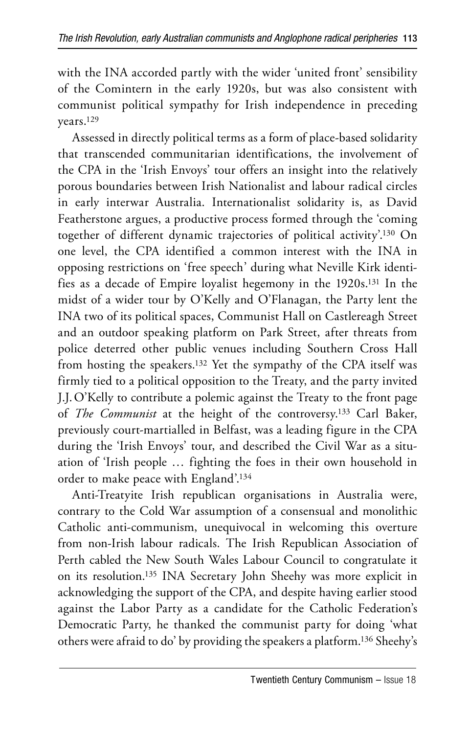with the INA accorded partly with the wider 'united front' sensibility of the Comintern in the early 1920s, but was also consistent with communist political sympathy for Irish independence in preceding years.129

Assessed in directly political terms as a form of place-based solidarity that transcended communitarian identifications, the involvement of the CPA in the 'Irish Envoys' tour offers an insight into the relatively porous boundaries between Irish Nationalist and labour radical circles in early interwar Australia. Internationalist solidarity is, as David Featherstone argues, a productive process formed through the 'coming together of different dynamic trajectories of political activity'.130 On one level, the CPA identified a common interest with the INA in opposing restrictions on 'free speech' during what Neville Kirk identifies as a decade of Empire loyalist hegemony in the 1920s.131 In the midst of a wider tour by O'Kelly and O'Flanagan, the Party lent the INA two of its political spaces, Communist Hall on Castlereagh Street and an outdoor speaking platform on Park Street, after threats from police deterred other public venues including Southern Cross Hall from hosting the speakers.132 Yet the sympathy of the CPA itself was firmly tied to a political opposition to the Treaty, and the party invited J.J. O'Kelly to contribute a polemic against the Treaty to the front page of *The Communist* at the height of the controversy.133 Carl Baker, previously court-martialled in Belfast, was a leading figure in the CPA during the 'Irish Envoys' tour, and described the Civil War as a situation of 'Irish people … fighting the foes in their own household in order to make peace with England'.134

Anti-Treatyite Irish republican organisations in Australia were, contrary to the Cold War assumption of a consensual and monolithic Catholic anti-communism, unequivocal in welcoming this overture from non-Irish labour radicals. The Irish Republican Association of Perth cabled the New South Wales Labour Council to congratulate it on its resolution.135 INA Secretary John Sheehy was more explicit in acknowledging the support of the CPA, and despite having earlier stood against the Labor Party as a candidate for the Catholic Federation's Democratic Party, he thanked the communist party for doing 'what others were afraid to do' by providing the speakers a platform.136 Sheehy's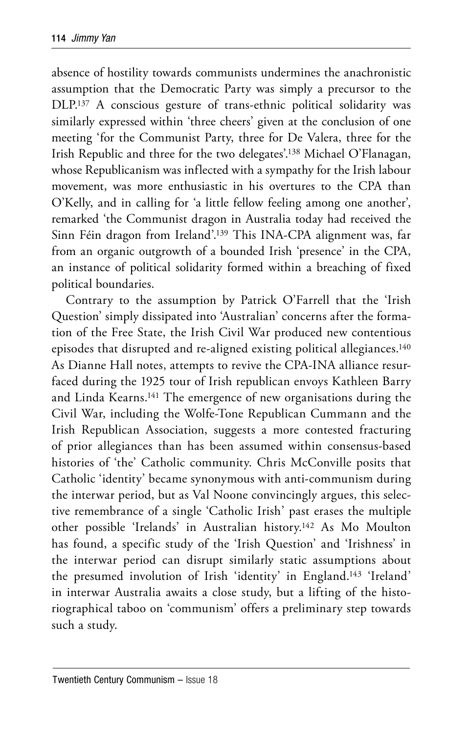absence of hostility towards communists undermines the anachronistic assumption that the Democratic Party was simply a precursor to the DLP.137 A conscious gesture of trans-ethnic political solidarity was similarly expressed within 'three cheers' given at the conclusion of one meeting 'for the Communist Party, three for De Valera, three for the Irish Republic and three for the two delegates'.138 Michael O'Flanagan, whose Republicanism was inflected with a sympathy for the Irish labour movement, was more enthusiastic in his overtures to the CPA than O'Kelly, and in calling for 'a little fellow feeling among one another', remarked 'the Communist dragon in Australia today had received the Sinn Féin dragon from Ireland'.139 This INA-CPA alignment was, far from an organic outgrowth of a bounded Irish 'presence' in the CPA, an instance of political solidarity formed within a breaching of fixed political boundaries.

Contrary to the assumption by Patrick O'Farrell that the 'Irish Question' simply dissipated into 'Australian' concerns after the formation of the Free State, the Irish Civil War produced new contentious episodes that disrupted and re-aligned existing political allegiances.140 As Dianne Hall notes, attempts to revive the CPA-INA alliance resurfaced during the 1925 tour of Irish republican envoys Kathleen Barry and Linda Kearns.141 The emergence of new organisations during the Civil War, including the Wolfe-Tone Republican Cummann and the Irish Republican Association, suggests a more contested fracturing of prior allegiances than has been assumed within consensus-based histories of 'the' Catholic community. Chris McConville posits that Catholic 'identity' became synonymous with anti-communism during the interwar period, but as Val Noone convincingly argues, this selective remembrance of a single 'Catholic Irish' past erases the multiple other possible 'Irelands' in Australian history.142 As Mo Moulton has found, a specific study of the 'Irish Question' and 'Irishness' in the interwar period can disrupt similarly static assumptions about the presumed involution of Irish 'identity' in England.143 'Ireland' in interwar Australia awaits a close study, but a lifting of the historiographical taboo on 'communism' offers a preliminary step towards such a study.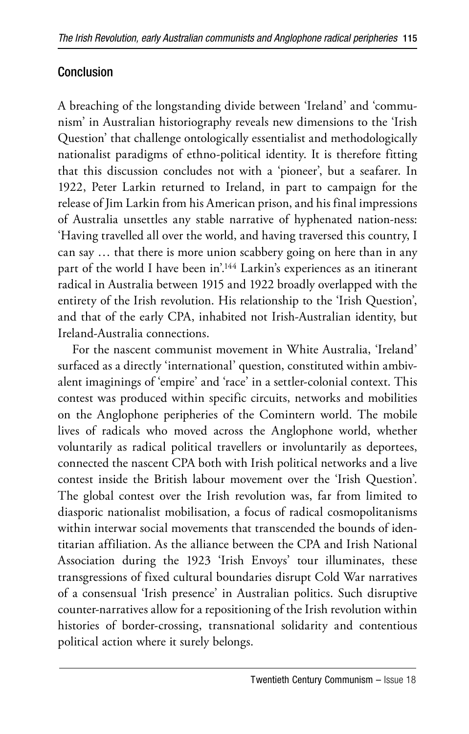## Conclusion

A breaching of the longstanding divide between 'Ireland' and 'communism' in Australian historiography reveals new dimensions to the 'Irish Question' that challenge ontologically essentialist and methodologically nationalist paradigms of ethno-political identity. It is therefore fitting that this discussion concludes not with a 'pioneer', but a seafarer. In 1922, Peter Larkin returned to Ireland, in part to campaign for the release of Jim Larkin from his American prison, and his final impressions of Australia unsettles any stable narrative of hyphenated nation-ness: 'Having travelled all over the world, and having traversed this country, I can say … that there is more union scabbery going on here than in any part of the world I have been in'.<sup>144</sup> Larkin's experiences as an itinerant radical in Australia between 1915 and 1922 broadly overlapped with the entirety of the Irish revolution. His relationship to the 'Irish Question', and that of the early CPA, inhabited not Irish-Australian identity, but Ireland-Australia connections.

For the nascent communist movement in White Australia, 'Ireland' surfaced as a directly 'international' question, constituted within ambivalent imaginings of 'empire' and 'race' in a settler-colonial context. This contest was produced within specific circuits, networks and mobilities on the Anglophone peripheries of the Comintern world. The mobile lives of radicals who moved across the Anglophone world, whether voluntarily as radical political travellers or involuntarily as deportees, connected the nascent CPA both with Irish political networks and a live contest inside the British labour movement over the 'Irish Question'. The global contest over the Irish revolution was, far from limited to diasporic nationalist mobilisation, a focus of radical cosmopolitanisms within interwar social movements that transcended the bounds of identitarian affiliation. As the alliance between the CPA and Irish National Association during the 1923 'Irish Envoys' tour illuminates, these transgressions of fixed cultural boundaries disrupt Cold War narratives of a consensual 'Irish presence' in Australian politics. Such disruptive counter-narratives allow for a repositioning of the Irish revolution within histories of border-crossing, transnational solidarity and contentious political action where it surely belongs.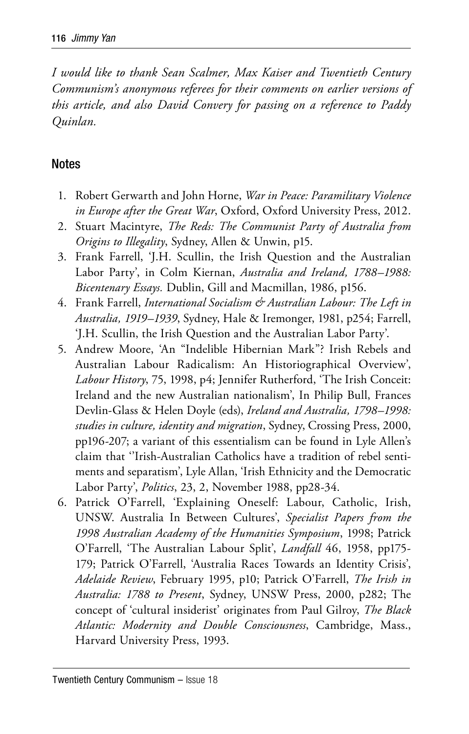*I would like to thank Sean Scalmer, Max Kaiser and Twentieth Century Communism's anonymous referees for their comments on earlier versions of this article, and also David Convery for passing on a reference to Paddy Quinlan.*

#### Notes

- 1. Robert Gerwarth and John Horne, *War in Peace: Paramilitary Violence in Europe after the Great War*, Oxford, Oxford University Press, 2012.
- 2. Stuart Macintyre, *The Reds: The Communist Party of Australia from Origins to Illegality*, Sydney, Allen & Unwin, p15.
- 3. Frank Farrell, 'J.H. Scullin, the Irish Question and the Australian Labor Party', in Colm Kiernan, *Australia and Ireland, 1788–1988: Bicentenary Essays.* Dublin, Gill and Macmillan, 1986, p156.
- 4. Frank Farrell, *International Socialism & Australian Labour: The Left in Australia, 1919–1939*, Sydney, Hale & Iremonger, 1981, p254; Farrell, 'J.H. Scullin, the Irish Question and the Australian Labor Party'.
- 5. Andrew Moore, 'An "Indelible Hibernian Mark"? Irish Rebels and Australian Labour Radicalism: An Historiographical Overview', *Labour History*, 75, 1998, p4; Jennifer Rutherford, 'The Irish Conceit: Ireland and the new Australian nationalism', In Philip Bull, Frances Devlin-Glass & Helen Doyle (eds), *Ireland and Australia, 1798–1998: studies in culture, identity and migration*, Sydney, Crossing Press, 2000, pp196-207; a variant of this essentialism can be found in Lyle Allen's claim that ''Irish-Australian Catholics have a tradition of rebel sentiments and separatism', Lyle Allan, 'Irish Ethnicity and the Democratic Labor Party', *Politics*, 23, 2, November 1988, pp28-34.
- 6. Patrick O'Farrell, 'Explaining Oneself: Labour, Catholic, Irish, UNSW. Australia In Between Cultures', *Specialist Papers from the 1998 Australian Academy of the Humanities Symposium*, 1998; Patrick O'Farrell, 'The Australian Labour Split', *Landfall* 46, 1958, pp175- 179; Patrick O'Farrell, 'Australia Races Towards an Identity Crisis', *Adelaide Review*, February 1995, p10; Patrick O'Farrell, *The Irish in Australia: 1788 to Present*, Sydney, UNSW Press, 2000, p282; The concept of 'cultural insiderist' originates from Paul Gilroy, *The Black Atlantic: Modernity and Double Consciousness*, Cambridge, Mass., Harvard University Press, 1993.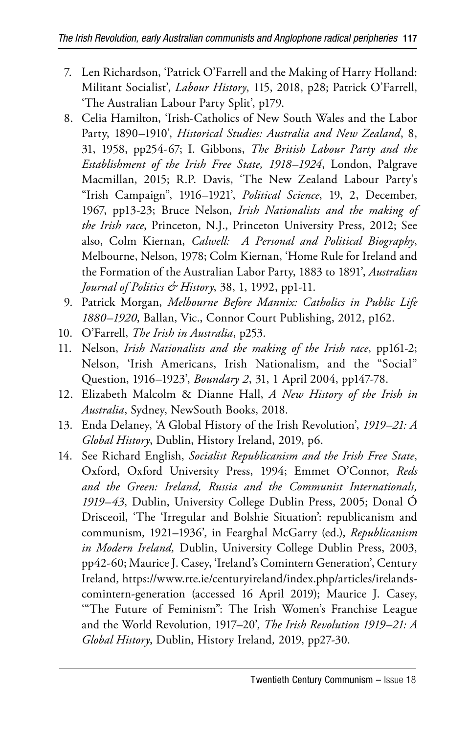- 7. Len Richardson, 'Patrick O'Farrell and the Making of Harry Holland: Militant Socialist', *Labour History*, 115, 2018, p28; Patrick O'Farrell, 'The Australian Labour Party Split', p179.
- 8. Celia Hamilton, 'Irish-Catholics of New South Wales and the Labor Party, 1890–1910', *Historical Studies: Australia and New Zealand*, 8, 31, 1958, pp254-67; I. Gibbons, *The British Labour Party and the Establishment of the Irish Free State, 1918–1924*, London, Palgrave Macmillan, 2015; R.P. Davis, 'The New Zealand Labour Party's "Irish Campaign", 1916–1921', *Political Science*, 19, 2, December, 1967, pp13-23; Bruce Nelson, *Irish Nationalists and the making of the Irish race*, Princeton, N.J., Princeton University Press, 2012; See also, Colm Kiernan, *Calwell: A Personal and Political Biography*, Melbourne, Nelson, 1978; Colm Kiernan, 'Home Rule for Ireland and the Formation of the Australian Labor Party, 1883 to 1891', *Australian Journal of Politics & History*, 38, 1, 1992, pp1-11.
- 9. Patrick Morgan, *Melbourne Before Mannix: Catholics in Public Life 1880–1920*, Ballan, Vic., Connor Court Publishing, 2012, p162.
- 10. O'Farrell, *The Irish in Australia*, p253.
- 11. Nelson, *Irish Nationalists and the making of the Irish race*, pp161-2; Nelson, 'Irish Americans, Irish Nationalism, and the "Social" Question, 1916–1923', *Boundary 2*, 31, 1 April 2004, pp147-78.
- 12. Elizabeth Malcolm & Dianne Hall, *A New History of the Irish in Australia*, Sydney, NewSouth Books, 2018.
- 13. Enda Delaney, 'A Global History of the Irish Revolution', *1919–21: A Global History*, Dublin, History Ireland, 2019, p6.
- 14. See Richard English, *Socialist Republicanism and the Irish Free State*, Oxford, Oxford University Press, 1994; Emmet O'Connor, *Reds and the Green: Ireland, Russia and the Communist Internationals, 1919–43*, Dublin, University College Dublin Press, 2005; Donal Ó Drisceoil, 'The 'Irregular and Bolshie Situation': republicanism and communism, 1921–1936', in Fearghal McGarry (ed.), *Republicanism in Modern Ireland,* Dublin, University College Dublin Press, 2003, pp42-60; Maurice J. Casey, 'Ireland's Comintern Generation', Century Ireland, https://www.rte.ie/centuryireland/index.php/articles/irelandscomintern-generation (accessed 16 April 2019); Maurice J. Casey, '"The Future of Feminism": The Irish Women's Franchise League and the World Revolution, 1917–20', *The Irish Revolution 1919–21: A Global History*, Dublin, History Ireland*,* 2019, pp27-30.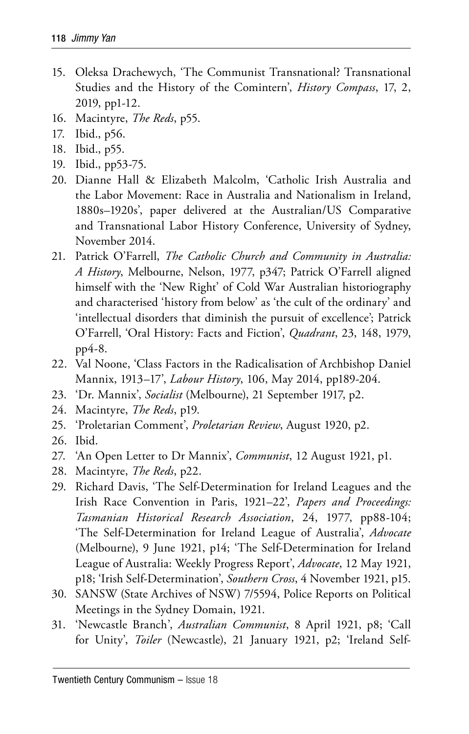- 15. Oleksa Drachewych, 'The Communist Transnational? Transnational Studies and the History of the Comintern', *History Compass*, 17, 2, 2019, pp1-12.
- 16. Macintyre, *The Reds*, p55.
- 17. Ibid., p56.
- 18. Ibid., p55.
- 19. Ibid., pp53-75.
- 20. Dianne Hall & Elizabeth Malcolm, 'Catholic Irish Australia and the Labor Movement: Race in Australia and Nationalism in Ireland, 1880s–1920s', paper delivered at the Australian/US Comparative and Transnational Labor History Conference, University of Sydney, November 2014.
- 21. Patrick O'Farrell, *The Catholic Church and Community in Australia: A History*, Melbourne, Nelson, 1977, p347; Patrick O'Farrell aligned himself with the 'New Right' of Cold War Australian historiography and characterised 'history from below' as 'the cult of the ordinary' and 'intellectual disorders that diminish the pursuit of excellence'; Patrick O'Farrell, 'Oral History: Facts and Fiction', *Quadrant*, 23, 148, 1979, pp4-8.
- 22. Val Noone, 'Class Factors in the Radicalisation of Archbishop Daniel Mannix, 1913–17', *Labour History*, 106, May 2014, pp189-204.
- 23. 'Dr. Mannix', *Socialist* (Melbourne), 21 September 1917, p2.
- 24. Macintyre, *The Reds*, p19.
- 25. 'Proletarian Comment', *Proletarian Review*, August 1920, p2.
- 26. Ibid.
- 27. 'An Open Letter to Dr Mannix', *Communist*, 12 August 1921, p1.
- 28. Macintyre, *The Reds*, p22.
- 29. Richard Davis, 'The Self-Determination for Ireland Leagues and the Irish Race Convention in Paris, 1921–22', *Papers and Proceedings: Tasmanian Historical Research Association*, 24, 1977, pp88-104; 'The Self-Determination for Ireland League of Australia', *Advocate* (Melbourne), 9 June 1921, p14; 'The Self-Determination for Ireland League of Australia: Weekly Progress Report', *Advocate*, 12 May 1921, p18; 'Irish Self-Determination', *Southern Cross*, 4 November 1921, p15.
- 30. SANSW (State Archives of NSW) 7/5594, Police Reports on Political Meetings in the Sydney Domain, 1921.
- 31. 'Newcastle Branch', *Australian Communist*, 8 April 1921, p8; 'Call for Unity', *Toiler* (Newcastle), 21 January 1921, p2; 'Ireland Self-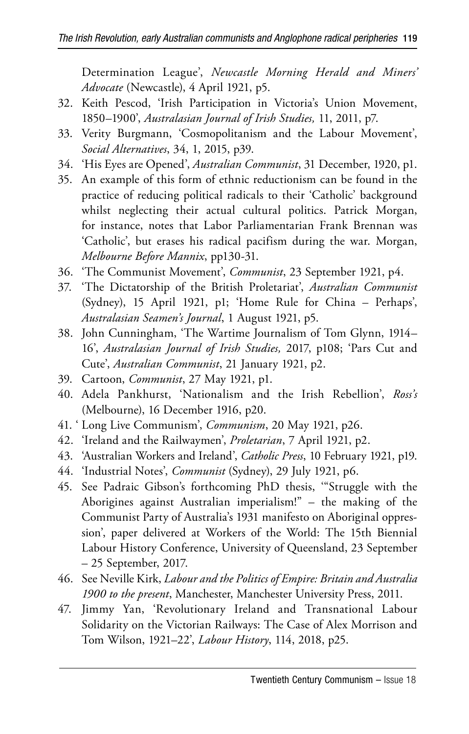Determination League', *Newcastle Morning Herald and Miners' Advocate* (Newcastle), 4 April 1921, p5.

- 32. Keith Pescod, 'Irish Participation in Victoria's Union Movement, 1850–1900', *Australasian Journal of Irish Studies,* 11, 2011, p7.
- 33. Verity Burgmann, 'Cosmopolitanism and the Labour Movement', *Social Alternatives*, 34, 1, 2015, p39.
- 34. 'His Eyes are Opened', *Australian Communist*, 31 December, 1920, p1.
- 35. An example of this form of ethnic reductionism can be found in the practice of reducing political radicals to their 'Catholic' background whilst neglecting their actual cultural politics. Patrick Morgan, for instance, notes that Labor Parliamentarian Frank Brennan was 'Catholic', but erases his radical pacifism during the war. Morgan, *Melbourne Before Mannix*, pp130-31.
- 36. 'The Communist Movement', *Communist*, 23 September 1921, p4.
- 37. 'The Dictatorship of the British Proletariat', *Australian Communist*  (Sydney), 15 April 1921, p1; 'Home Rule for China – Perhaps', *Australasian Seamen's Journal*, 1 August 1921, p5.
- 38. John Cunningham, 'The Wartime Journalism of Tom Glynn, 1914– 16', *Australasian Journal of Irish Studies,* 2017, p108; 'Pars Cut and Cute', *Australian Communist*, 21 January 1921, p2.
- 39. Cartoon, *Communist*, 27 May 1921, p1.
- 40. Adela Pankhurst, 'Nationalism and the Irish Rebellion', *Ross's*  (Melbourne), 16 December 1916, p20.
- 41. ' Long Live Communism', *Communism*, 20 May 1921, p26.
- 42. 'Ireland and the Railwaymen', *Proletarian*, 7 April 1921, p2.
- 43. 'Australian Workers and Ireland', *Catholic Press*, 10 February 1921, p19.
- 44. 'Industrial Notes', *Communist* (Sydney), 29 July 1921, p6.
- 45. See Padraic Gibson's forthcoming PhD thesis, '"Struggle with the Aborigines against Australian imperialism!" – the making of the Communist Party of Australia's 1931 manifesto on Aboriginal oppression', paper delivered at Workers of the World: The 15th Biennial Labour History Conference, University of Queensland, 23 September – 25 September, 2017.
- 46. See Neville Kirk, *Labour and the Politics of Empire: Britain and Australia 1900 to the present*, Manchester, Manchester University Press, 2011.
- 47. Jimmy Yan, 'Revolutionary Ireland and Transnational Labour Solidarity on the Victorian Railways: The Case of Alex Morrison and Tom Wilson, 1921–22', *Labour History*, 114, 2018, p25.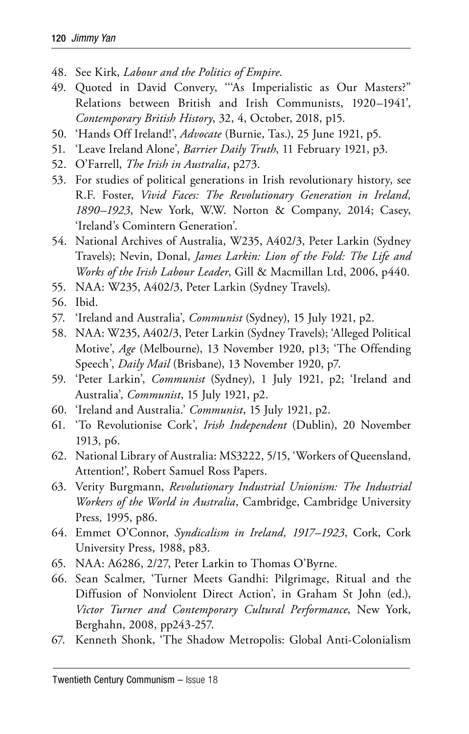- 48. See Kirk, *Labour and the Politics of Empire*.
- 49. Quoted in David Convery, '''As Imperialistic as Our Masters?" Relations between British and Irish Communists, 1920–1941', *Contemporary British History*, 32, 4, October, 2018, p15.
- 50. 'Hands Off Ireland!', *Advocate* (Burnie, Tas.), 25 June 1921, p5.
- 51. 'Leave Ireland Alone', *Barrier Daily Truth*, 11 February 1921, p3.
- 52. O'Farrell, *The Irish in Australia*, p273.
- 53. For studies of political generations in Irish revolutionary history, see R.F. Foster, *Vivid Faces: The Revolutionary Generation in Ireland, 1890–1923*, New York, W.W. Norton & Company, 2014; Casey, 'Ireland's Comintern Generation'.
- 54. National Archives of Australia, W235, A402/3, Peter Larkin (Sydney Travels); Nevin, Donal, *James Larkin: Lion of the Fold: The Life and Works of the Irish Labour Leader*, Gill & Macmillan Ltd, 2006, p440.
- 55. NAA: W235, A402/3, Peter Larkin (Sydney Travels).
- 56. Ibid.
- 57. 'Ireland and Australia', *Communist* (Sydney), 15 July 1921, p2.
- 58. NAA: W235, A402/3, Peter Larkin (Sydney Travels); 'Alleged Political Motive', *Age* (Melbourne), 13 November 1920, p13; 'The Offending Speech', *Daily Mail* (Brisbane), 13 November 1920, p7.
- 59. 'Peter Larkin', *Communist* (Sydney), 1 July 1921, p2; 'Ireland and Australia', *Communist*, 15 July 1921, p2.
- 60. 'Ireland and Australia.' *Communist*, 15 July 1921, p2.
- 61. 'To Revolutionise Cork', *Irish Independent* (Dublin), 20 November 1913, p6.
- 62. National Library of Australia: MS3222, 5/15, 'Workers of Queensland, Attention!', Robert Samuel Ross Papers.
- 63. Verity Burgmann, *Revolutionary Industrial Unionism: The Industrial Workers of the World in Australia*, Cambridge, Cambridge University Press*,* 1995, p86.
- 64. Emmet O'Connor, *Syndicalism in Ireland, 1917–1923*, Cork, Cork University Press, 1988, p83.
- 65. NAA: A6286, 2/27, Peter Larkin to Thomas O'Byrne.
- 66. Sean Scalmer, 'Turner Meets Gandhi: Pilgrimage, Ritual and the Diffusion of Nonviolent Direct Action', in Graham St John (ed.), *Victor Turner and Contemporary Cultural Performance*, New York, Berghahn, 2008, pp243-257.
- 67. Kenneth Shonk, 'The Shadow Metropolis: Global Anti-Colonialism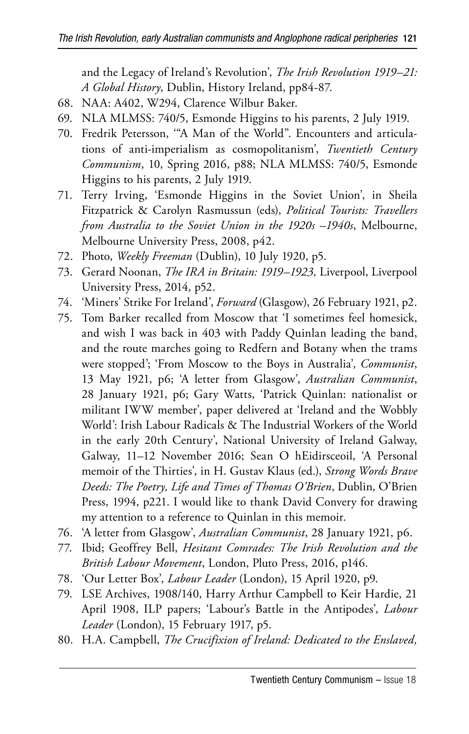and the Legacy of Ireland's Revolution', *The Irish Revolution 1919–21: A Global History*, Dublin, History Ireland, pp84-87.

- 68. NAA: A402, W294, Clarence Wilbur Baker.
- 69. NLA MLMSS: 740/5, Esmonde Higgins to his parents, 2 July 1919.
- 70. Fredrik Petersson, '"A Man of the World". Encounters and articulations of anti-imperialism as cosmopolitanism', *Twentieth Century Communism*, 10, Spring 2016, p88; NLA MLMSS: 740/5, Esmonde Higgins to his parents, 2 July 1919.
- 71. Terry Irving, 'Esmonde Higgins in the Soviet Union', in Sheila Fitzpatrick & Carolyn Rasmussun (eds), *Political Tourists: Travellers from Australia to the Soviet Union in the 1920s –1940s*, Melbourne, Melbourne University Press, 2008, p42.
- 72. Photo, *Weekly Freeman* (Dublin), 10 July 1920, p5.
- 73. Gerard Noonan, *The IRA in Britain: 1919–1923,* Liverpool, Liverpool University Press, 2014, p52.
- 74. 'Miners' Strike For Ireland', *Forward* (Glasgow), 26 February 1921, p2.
- 75. Tom Barker recalled from Moscow that 'I sometimes feel homesick, and wish I was back in 403 with Paddy Quinlan leading the band, and the route marches going to Redfern and Botany when the trams were stopped'; 'From Moscow to the Boys in Australia', *Communist*, 13 May 1921, p6; 'A letter from Glasgow', *Australian Communist*, 28 January 1921, p6; Gary Watts, 'Patrick Quinlan: nationalist or militant IWW member', paper delivered at 'Ireland and the Wobbly World': Irish Labour Radicals & The Industrial Workers of the World in the early 20th Century', National University of Ireland Galway, Galway, 11–12 November 2016; Sean O hEidirsceoil, 'A Personal memoir of the Thirties', in H. Gustav Klaus (ed.), *Strong Words Brave Deeds: The Poetry, Life and Times of Thomas O'Brien*, Dublin, O'Brien Press, 1994, p221. I would like to thank David Convery for drawing my attention to a reference to Quinlan in this memoir.
- 76. 'A letter from Glasgow', *Australian Communist*, 28 January 1921, p6.
- 77. Ibid; Geoffrey Bell, *Hesitant Comrades: The Irish Revolution and the British Labour Movement*, London, Pluto Press, 2016, p146.
- 78. 'Our Letter Box', *Labour Leader* (London), 15 April 1920, p9.
- 79. LSE Archives, 1908/140, Harry Arthur Campbell to Keir Hardie, 21 April 1908, ILP papers; 'Labour's Battle in the Antipodes', *Labour Leader* (London), 15 February 1917, p5.
- 80. H.A. Campbell, *The Crucifixion of Ireland: Dedicated to the Enslaved,*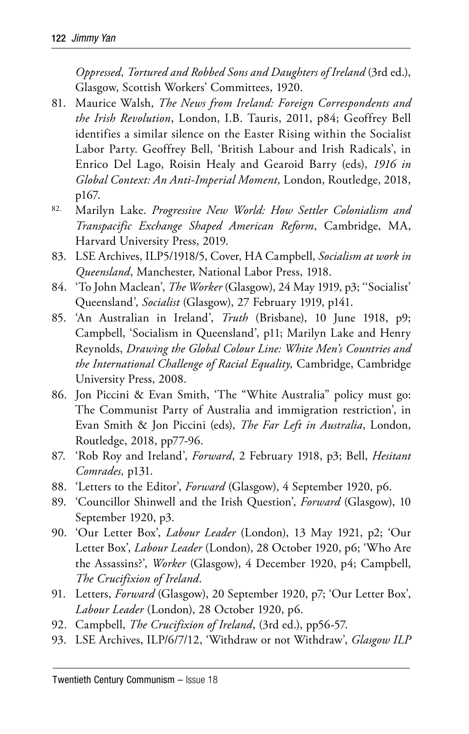*Oppressed, Tortured and Robbed Sons and Daughters of Ireland* (3rd ed.), Glasgow, Scottish Workers' Committees, 1920.

- 81. Maurice Walsh, *The News from Ireland: Foreign Correspondents and the Irish Revolution*, London, I.B. Tauris, 2011, p84; Geoffrey Bell identifies a similar silence on the Easter Rising within the Socialist Labor Party. Geoffrey Bell, 'British Labour and Irish Radicals', in Enrico Del Lago, Roisin Healy and Gearoid Barry (eds), *1916 in Global Context: An Anti-Imperial Moment,* London, Routledge, 2018, p167.
- 82. Marilyn Lake. *Progressive New World: How Settler Colonialism and Transpacific Exchange Shaped American Reform*, Cambridge, MA, Harvard University Press, 2019.
- 83. LSE Archives, ILP5/1918/5, Cover, HA Campbell, *Socialism at work in Queensland*, Manchester, National Labor Press, 1918.
- 84. 'To John Maclean', *The Worker* (Glasgow), 24 May 1919, p3; ''Socialist' Queensland', *Socialist* (Glasgow), 27 February 1919, p141.
- 85. 'An Australian in Ireland', *Truth* (Brisbane), 10 June 1918, p9; Campbell, 'Socialism in Queensland', p11; Marilyn Lake and Henry Reynolds, *Drawing the Global Colour Line: White Men's Countries and the International Challenge of Racial Equality,* Cambridge, Cambridge University Press, 2008.
- 86. Jon Piccini & Evan Smith, 'The "White Australia" policy must go: The Communist Party of Australia and immigration restriction', in Evan Smith & Jon Piccini (eds), *The Far Left in Australia*, London, Routledge, 2018, pp77-96.
- 87. 'Rob Roy and Ireland', *Forward*, 2 February 1918, p3; Bell, *Hesitant Comrades,* p131.
- 88. 'Letters to the Editor', *Forward* (Glasgow), 4 September 1920, p6.
- 89. 'Councillor Shinwell and the Irish Question', *Forward* (Glasgow), 10 September 1920, p3.
- 90. 'Our Letter Box', *Labour Leader* (London), 13 May 1921, p2; 'Our Letter Box', *Labour Leader* (London), 28 October 1920, p6; 'Who Are the Assassins?', *Worker* (Glasgow), 4 December 1920, p4; Campbell, *The Crucifixion of Ireland*.
- 91. Letters, *Forward* (Glasgow), 20 September 1920, p7; 'Our Letter Box', *Labour Leader* (London), 28 October 1920, p6.
- 92. Campbell, *The Crucifixion of Ireland*, (3rd ed.), pp56-57.
- 93. LSE Archives, ILP/6/7/12, 'Withdraw or not Withdraw', *Glasgow ILP*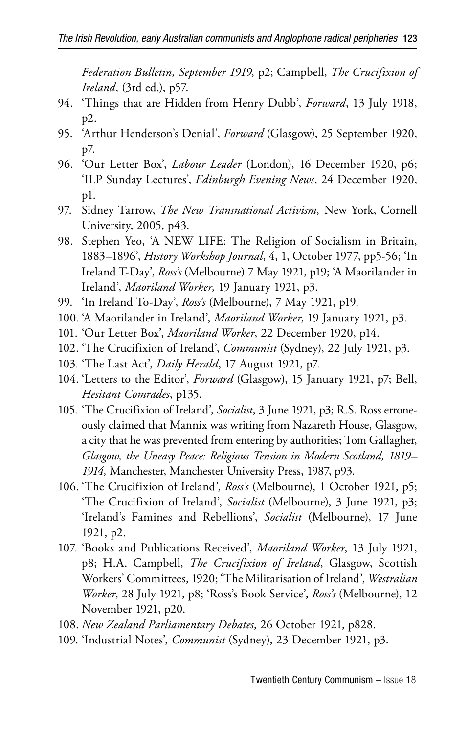*Federation Bulletin, September 1919,* p2; Campbell, *The Crucifixion of Ireland*, (3rd ed.), p57.

- 94. 'Things that are Hidden from Henry Dubb', *Forward*, 13 July 1918, p2.
- 95. 'Arthur Henderson's Denial', *Forward* (Glasgow), 25 September 1920, p7.
- 96. 'Our Letter Box', *Labour Leader* (London), 16 December 1920, p6; 'ILP Sunday Lectures', *Edinburgh Evening News*, 24 December 1920, p1.
- 97. Sidney Tarrow, *The New Transnational Activism,* New York, Cornell University, 2005, p43.
- 98. Stephen Yeo, 'A NEW LIFE: The Religion of Socialism in Britain, 1883–1896', *History Workshop Journal*, 4, 1, October 1977, pp5-56; 'In Ireland T-Day', *Ross's* (Melbourne) 7 May 1921, p19; 'A Maorilander in Ireland', *Maoriland Worker,* 19 January 1921, p3.
- 99. 'In Ireland To-Day', *Ross's* (Melbourne), 7 May 1921, p19.
- 100. 'A Maorilander in Ireland', *Maoriland Worker*, 19 January 1921, p3.
- 101. 'Our Letter Box', *Maoriland Worker*, 22 December 1920, p14.
- 102. 'The Crucifixion of Ireland', *Communist* (Sydney), 22 July 1921, p3.
- 103. 'The Last Act', *Daily Herald*, 17 August 1921, p7.
- 104. 'Letters to the Editor', *Forward* (Glasgow), 15 January 1921, p7; Bell, *Hesitant Comrades*, p135.
- 105. 'The Crucifixion of Ireland', *Socialist*, 3 June 1921, p3; R.S. Ross erroneously claimed that Mannix was writing from Nazareth House, Glasgow, a city that he was prevented from entering by authorities; Tom Gallagher, *Glasgow, the Uneasy Peace: Religious Tension in Modern Scotland, 1819– 1914,* Manchester, Manchester University Press, 1987, p93.
- 106. 'The Crucifixion of Ireland', *Ross's* (Melbourne), 1 October 1921, p5; 'The Crucifixion of Ireland', *Socialist* (Melbourne), 3 June 1921, p3; 'Ireland's Famines and Rebellions', *Socialist* (Melbourne), 17 June 1921, p2.
- 107. 'Books and Publications Received', *Maoriland Worker*, 13 July 1921, p8; H.A. Campbell, *The Crucifixion of Ireland*, Glasgow, Scottish Workers' Committees, 1920; 'The Militarisation of Ireland', *Westralian Worker*, 28 July 1921, p8; 'Ross's Book Service', *Ross's* (Melbourne), 12 November 1921, p20.
- 108. *New Zealand Parliamentary Debates*, 26 October 1921, p828.
- 109. 'Industrial Notes', *Communist* (Sydney), 23 December 1921, p3.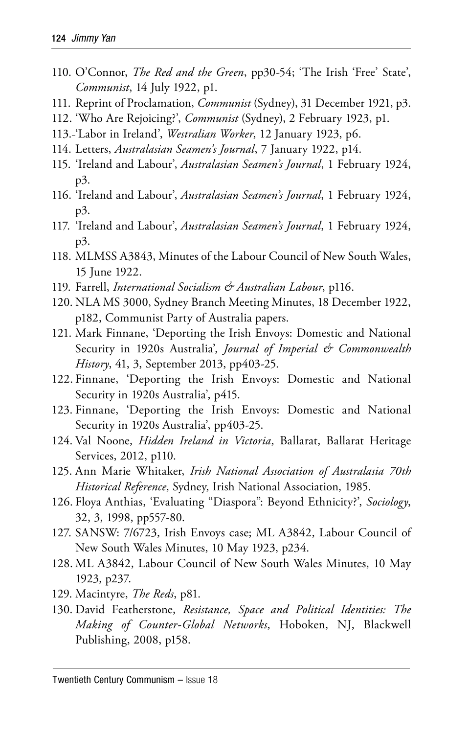- 110. O'Connor, *The Red and the Green*, pp30-54; 'The Irish 'Free' State', *Communist*, 14 July 1922, p1.
- 111. Reprint of Proclamation, *Communist* (Sydney), 31 December 1921, p3.
- 112. 'Who Are Rejoicing?', *Communist* (Sydney), 2 February 1923, p1.
- 113. 'Labor in Ireland', *Westralian Worker*, 12 January 1923, p6.
- 114. Letters, *Australasian Seamen's Journal*, 7 January 1922, p14.
- 115. 'Ireland and Labour', *Australasian Seamen's Journal*, 1 February 1924, p3.
- 116. 'Ireland and Labour', *Australasian Seamen's Journal*, 1 February 1924, p3.
- 117. 'Ireland and Labour', *Australasian Seamen's Journal*, 1 February 1924, p3.
- 118. MLMSS A3843, Minutes of the Labour Council of New South Wales, 15 June 1922.
- 119. Farrell, *International Socialism & Australian Labour*, p116.
- 120. NLA MS 3000, Sydney Branch Meeting Minutes, 18 December 1922, p182, Communist Party of Australia papers.
- 121. Mark Finnane, 'Deporting the Irish Envoys: Domestic and National Security in 1920s Australia', *Journal of Imperial & Commonwealth History*, 41, 3, September 2013, pp403-25.
- 122. Finnane, 'Deporting the Irish Envoys: Domestic and National Security in 1920s Australia', p415.
- 123. Finnane, 'Deporting the Irish Envoys: Domestic and National Security in 1920s Australia', pp403-25.
- 124. Val Noone, *Hidden Ireland in Victoria*, Ballarat, Ballarat Heritage Services, 2012, p110.
- 125. Ann Marie Whitaker, *Irish National Association of Australasia 70th Historical Reference*, Sydney, Irish National Association, 1985.
- 126. Floya Anthias, 'Evaluating "Diaspora": Beyond Ethnicity?', *Sociology*, 32, 3, 1998, pp557-80.
- 127. SANSW: 7/6723, Irish Envoys case; ML A3842, Labour Council of New South Wales Minutes, 10 May 1923, p234.
- 128. ML A3842, Labour Council of New South Wales Minutes, 10 May 1923, p237.
- 129. Macintyre, *The Reds*, p81.
- 130. David Featherstone, *Resistance, Space and Political Identities: The Making of Counter-Global Networks*, Hoboken, NJ, Blackwell Publishing, 2008, p158.